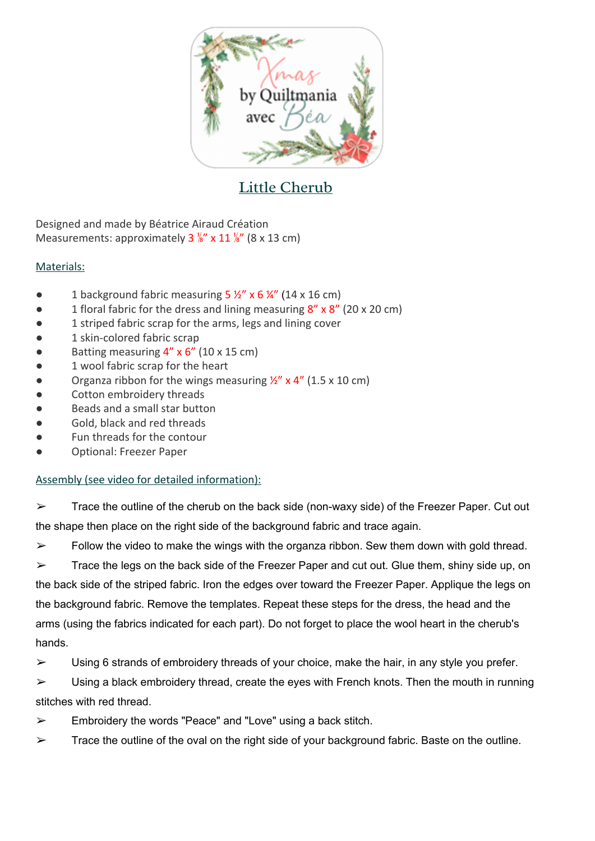

## Little Cherub

Designed and made by Béatrice Airaud Création Measurements: approximately  $3\frac{1}{8}$  x  $11\frac{1}{8}$  (8 x 13 cm)

## Materials:

- 1 background fabric measuring  $5 \frac{1}{2}$ " x 6  $\frac{1}{4}$ " (14 x 16 cm)
- 1 floral fabric for the dress and lining measuring  $8''$  x  $8''$  (20 x 20 cm)
- 1 striped fabric scrap for the arms, legs and lining cover
- 1 skin-colored fabric scrap
- Batting measuring  $4''$  x  $6''$  (10 x 15 cm)
- 1 wool fabric scrap for the heart
- Organza ribbon for the wings measuring  $\frac{1}{2}$ " x 4" (1.5 x 10 cm)
- Cotton embroidery threads
- Beads and a small star button
- Gold, black and red threads
- Fun threads for the contour
- Optional: Freezer Paper

## Assembly (see video for detailed information):

 $\triangleright$  Trace the outline of the cherub on the back side (non-waxy side) of the Freezer Paper. Cut out the shape then place on the right side of the background fabric and trace again.

 $\triangleright$  Follow the video to make the wings with the organza ribbon. Sew them down with gold thread.

 $\triangleright$  Trace the legs on the back side of the Freezer Paper and cut out. Glue them, shiny side up, on the back side of the striped fabric. Iron the edges over toward the Freezer Paper. Applique the legs on the background fabric. Remove the templates. Repeat these steps for the dress, the head and the arms (using the fabrics indicated for each part). Do not forget to place the wool heart in the cherub's hands.

 $\triangleright$  Using 6 strands of embroidery threads of your choice, make the hair, in any style you prefer.

 $\triangleright$  Using a black embroidery thread, create the eyes with French knots. Then the mouth in running stitches with red thread.

- $\triangleright$  Embroidery the words "Peace" and "Love" using a back stitch.
- $\triangleright$  Trace the outline of the oval on the right side of your background fabric. Baste on the outline.